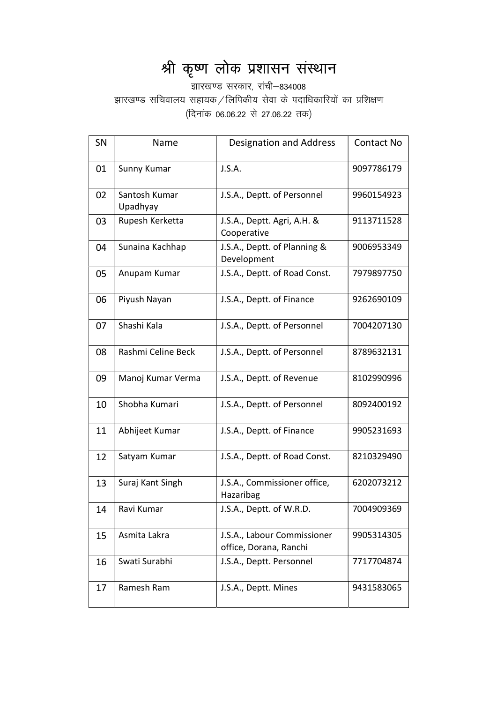## श्री कृष्ण लोक प्रशासन संस्थान

<del>-</del><br>झारखण्ड सरकार, रांची–834008 झारखण्ड सचिवालय सहायक / लिपिकीय सेवा के पदाधिकारियों का प्रशिक्षण (दिनांक 06.06.22 से 27.06.22 तक)

| <b>SN</b> | Name                      | <b>Designation and Address</b>                        | Contact No |
|-----------|---------------------------|-------------------------------------------------------|------------|
| 01        | Sunny Kumar               | J.S.A.                                                | 9097786179 |
| 02        | Santosh Kumar<br>Upadhyay | J.S.A., Deptt. of Personnel                           | 9960154923 |
| 03        | Rupesh Kerketta           | J.S.A., Deptt. Agri, A.H. &<br>Cooperative            | 9113711528 |
| 04        | Sunaina Kachhap           | J.S.A., Deptt. of Planning &<br>Development           | 9006953349 |
| 05        | Anupam Kumar              | J.S.A., Deptt. of Road Const.                         | 7979897750 |
| 06        | Piyush Nayan              | J.S.A., Deptt. of Finance                             | 9262690109 |
| 07        | Shashi Kala               | J.S.A., Deptt. of Personnel                           | 7004207130 |
| 08        | Rashmi Celine Beck        | J.S.A., Deptt. of Personnel                           | 8789632131 |
| 09        | Manoj Kumar Verma         | J.S.A., Deptt. of Revenue                             | 8102990996 |
| 10        | Shobha Kumari             | J.S.A., Deptt. of Personnel                           | 8092400192 |
| 11        | Abhijeet Kumar            | J.S.A., Deptt. of Finance                             | 9905231693 |
| 12        | Satyam Kumar              | J.S.A., Deptt. of Road Const.                         | 8210329490 |
| 13        | Suraj Kant Singh          | J.S.A., Commissioner office,<br>Hazaribag             | 6202073212 |
| 14        | Ravi Kumar                | J.S.A., Deptt. of W.R.D.                              | 7004909369 |
| 15        | Asmita Lakra              | J.S.A., Labour Commissioner<br>office, Dorana, Ranchi | 9905314305 |
| 16        | Swati Surabhi             | J.S.A., Deptt. Personnel                              | 7717704874 |
| 17        | Ramesh Ram                | J.S.A., Deptt. Mines                                  | 9431583065 |